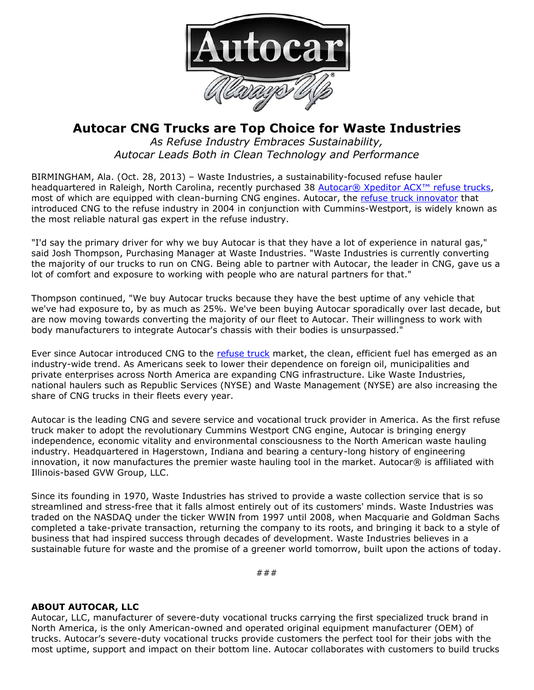

## **Autocar CNG Trucks are Top Choice for Waste Industries**

*As Refuse Industry Embraces Sustainability, Autocar Leads Both in Clean Technology and Performance*

BIRMINGHAM, Ala. (Oct. 28, 2013) – Waste Industries, a sustainability-focused refuse hauler headquartered in Raleigh, North Carolina, recently purchased 38 [Autocar® Xpeditor ACX™ refuse trucks](http://autocartruck.com/refuse-truck), most of which are equipped with clean-burning CNG engines. Autocar, the [refuse truck innovator](http://autocartruck.com/refuse-truck) that introduced CNG to the refuse industry in 2004 in conjunction with Cummins-Westport, is widely known as the most reliable natural gas expert in the refuse industry.

"I'd say the primary driver for why we buy Autocar is that they have a lot of experience in natural gas," said Josh Thompson, Purchasing Manager at Waste Industries. "Waste Industries is currently converting the majority of our trucks to run on CNG. Being able to partner with Autocar, the leader in CNG, gave us a lot of comfort and exposure to working with people who are natural partners for that."

Thompson continued, "We buy Autocar trucks because they have the best uptime of any vehicle that we've had exposure to, by as much as 25%. We've been buying Autocar sporadically over last decade, but are now moving towards converting the majority of our fleet to Autocar. Their willingness to work with body manufacturers to integrate Autocar's chassis with their bodies is unsurpassed."

Ever since Autocar introduced CNG to the [refuse truck](http://autocartruck.com/refuse-truck) market, the clean, efficient fuel has emerged as an industry-wide trend. As Americans seek to lower their dependence on foreign oil, municipalities and private enterprises across North America are expanding CNG infrastructure. Like Waste Industries, national haulers such as Republic Services (NYSE) and Waste Management (NYSE) are also increasing the share of CNG trucks in their fleets every year.

Autocar is the leading CNG and severe service and vocational truck provider in America. As the first refuse truck maker to adopt the revolutionary Cummins Westport CNG engine, Autocar is bringing energy independence, economic vitality and environmental consciousness to the North American waste hauling industry. Headquartered in Hagerstown, Indiana and bearing a century-long history of engineering innovation, it now manufactures the premier waste hauling tool in the market. Autocar® is affiliated with Illinois-based GVW Group, LLC.

Since its founding in 1970, Waste Industries has strived to provide a waste collection service that is so streamlined and stress-free that it falls almost entirely out of its customers' minds. Waste Industries was traded on the NASDAQ under the ticker WWIN from 1997 until 2008, when Macquarie and Goldman Sachs completed a take-private transaction, returning the company to its roots, and bringing it back to a style of business that had inspired success through decades of development. Waste Industries believes in a sustainable future for waste and the promise of a greener world tomorrow, built upon the actions of today.

###

## **ABOUT AUTOCAR, LLC**

Autocar, LLC, manufacturer of severe-duty vocational trucks carrying the first specialized truck brand in North America, is the only American-owned and operated original equipment manufacturer (OEM) of trucks. Autocar's severe-duty vocational trucks provide customers the perfect tool for their jobs with the most uptime, support and impact on their bottom line. Autocar collaborates with customers to build trucks